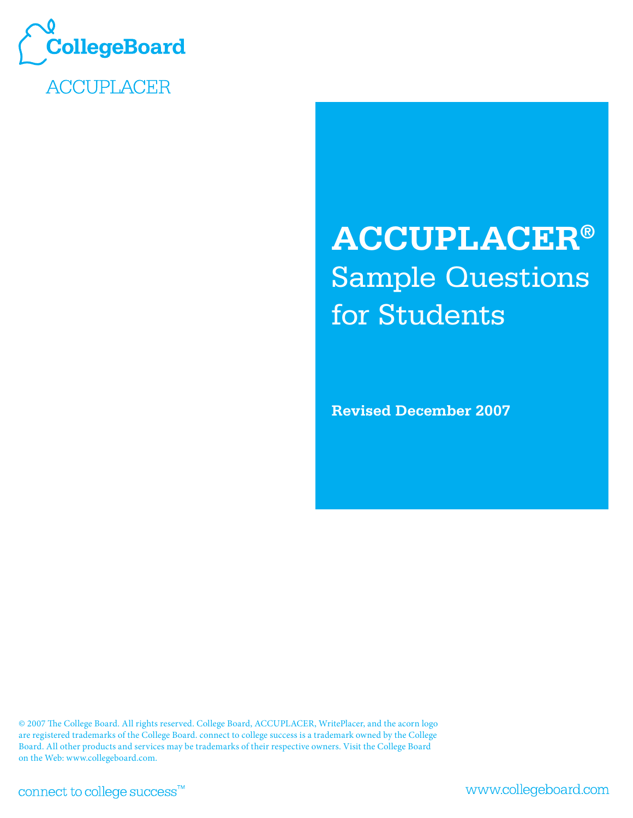

**ACCUPLACER** 

# **ACCUPLACER®** Sample Questions for Students

**Revised December 2007**

© 2007 The College Board. All rights reserved. College Board, ACCUPLACER, WritePlacer, and the acorn logo are registered trademarks of the College Board. connect to college success is a trademark owned by the College Board. All other products and services may be trademarks of their respective owners. Visit the College Board on the Web: www.collegeboard.com.

connect to college success™

www.collegeboard.com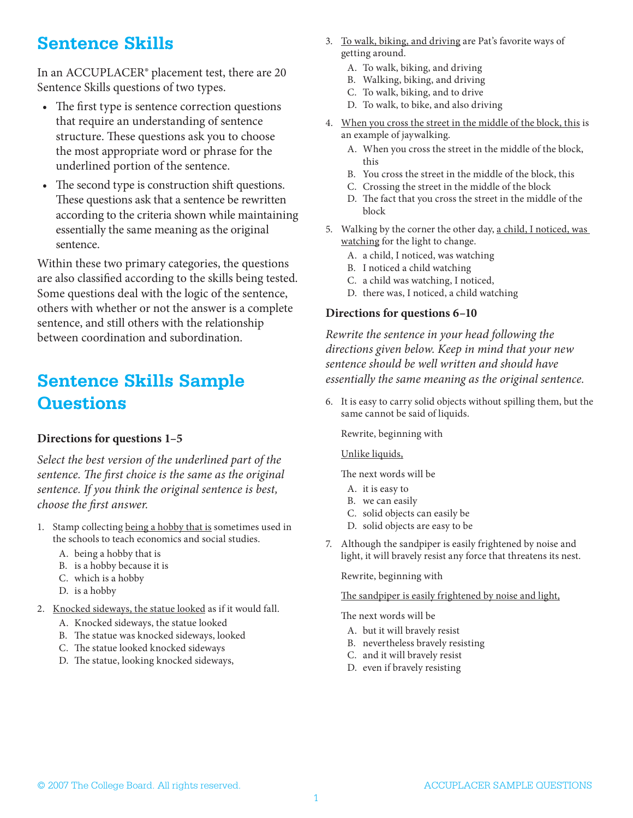#### **Sentence Skills**

In an ACCUPLACER® placement test, there are 20 Sentence Skills questions of two types.

- The first type is sentence correction questions that require an understanding of sentence structure. These questions ask you to choose the most appropriate word or phrase for the underlined portion of the sentence.
- The second type is construction shift questions. These questions ask that a sentence be rewritten according to the criteria shown while maintaining essentially the same meaning as the original sentence.

Within these two primary categories, the questions are also classified according to the skills being tested. Some questions deal with the logic of the sentence, others with whether or not the answer is a complete sentence, and still others with the relationship between coordination and subordination.

### **Sentence Skills Sample Questions**

#### **Directions for questions 1–5**

*Select the best version of the underlined part of the sentence. The first choice is the same as the original sentence. If you think the original sentence is best, choose the first answer.*

- 1. Stamp collecting being a hobby that is sometimes used in the schools to teach economics and social studies.
	- A. being a hobby that is
	- B. is a hobby because it is
	- C. which is a hobby
	- D. is a hobby
- 2. Knocked sideways, the statue looked as if it would fall.
	- A. Knocked sideways, the statue looked
	- B. The statue was knocked sideways, looked
	- C. The statue looked knocked sideways
	- D. The statue, looking knocked sideways,
- 3. To walk, biking, and driving are Pat's favorite ways of getting around.
	- A. To walk, biking, and driving
	- B. Walking, biking, and driving
	- C. To walk, biking, and to drive
	- D. To walk, to bike, and also driving
- 4. When you cross the street in the middle of the block, this is an example of jaywalking.
	- A. When you cross the street in the middle of the block, this
	- B. You cross the street in the middle of the block, this
	- C. Crossing the street in the middle of the block
	- D. The fact that you cross the street in the middle of the block
- 5. Walking by the corner the other day, a child, I noticed, was watching for the light to change.
	- A. a child, I noticed, was watching
	- B. I noticed a child watching
	- C. a child was watching, I noticed,
	- D. there was, I noticed, a child watching

#### **Directions for questions 6–10**

*Rewrite the sentence in your head following the directions given below. Keep in mind that your new sentence should be well written and should have essentially the same meaning as the original sentence.*

6. It is easy to carry solid objects without spilling them, but the same cannot be said of liquids.

Rewrite, beginning with

#### Unlike liquids,

The next words will be

- A. it is easy to
- B. we can easily
- C. solid objects can easily be
- D. solid objects are easy to be
- 7. Although the sandpiper is easily frightened by noise and light, it will bravely resist any force that threatens its nest.

Rewrite, beginning with

The sandpiper is easily frightened by noise and light,

The next words will be

- A. but it will bravely resist
- B. nevertheless bravely resisting
- C. and it will bravely resist
- D. even if bravely resisting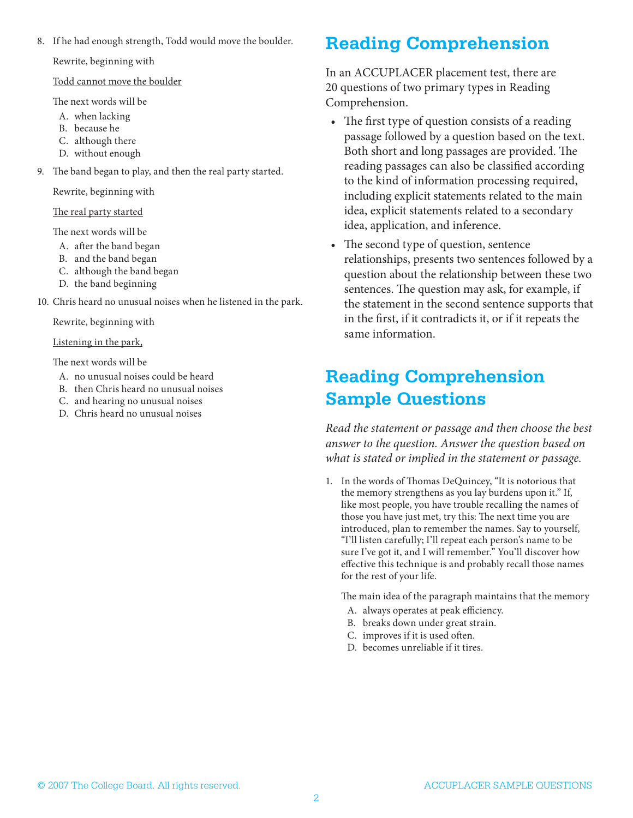8. If he had enough strength, Todd would move the boulder.

Rewrite, beginning with

#### Todd cannot move the boulder

The next words will be

- A. when lacking
- B. because he
- C. although there
- D. without enough
- 9. The band began to play, and then the real party started.

Rewrite, beginning with

The real party started

The next words will be

- A. after the band began
- B. and the band began
- C. although the band began
- D. the band beginning
- 10. Chris heard no unusual noises when he listened in the park.

Rewrite, beginning with

#### Listening in the park,

The next words will be

- A. no unusual noises could be heard
- B. then Chris heard no unusual noises
- C. and hearing no unusual noises
- D. Chris heard no unusual noises

# **Reading Comprehension**

In an ACCUPLACER placement test, there are 20 questions of two primary types in Reading Comprehension.

- The first type of question consists of a reading passage followed by a question based on the text. Both short and long passages are provided. The reading passages can also be classified according to the kind of information processing required, including explicit statements related to the main idea, explicit statements related to a secondary idea, application, and inference.
- The second type of question, sentence relationships, presents two sentences followed by a question about the relationship between these two sentences. The question may ask, for example, if the statement in the second sentence supports that in the first, if it contradicts it, or if it repeats the same information.

### **Reading Comprehension Sample Questions**

*Read the statement or passage and then choose the best answer to the question. Answer the question based on what is stated or implied in the statement or passage.*

1. In the words of Thomas DeQuincey, "It is notorious that the memory strengthens as you lay burdens upon it." If, like most people, you have trouble recalling the names of those you have just met, try this: The next time you are introduced, plan to remember the names. Say to yourself, "I'll listen carefully; I'll repeat each person's name to be sure I've got it, and I will remember." You'll discover how effective this technique is and probably recall those names for the rest of your life.

The main idea of the paragraph maintains that the memory

- A. always operates at peak efficiency.
- B. breaks down under great strain.
- C. improves if it is used often.
- D. becomes unreliable if it tires.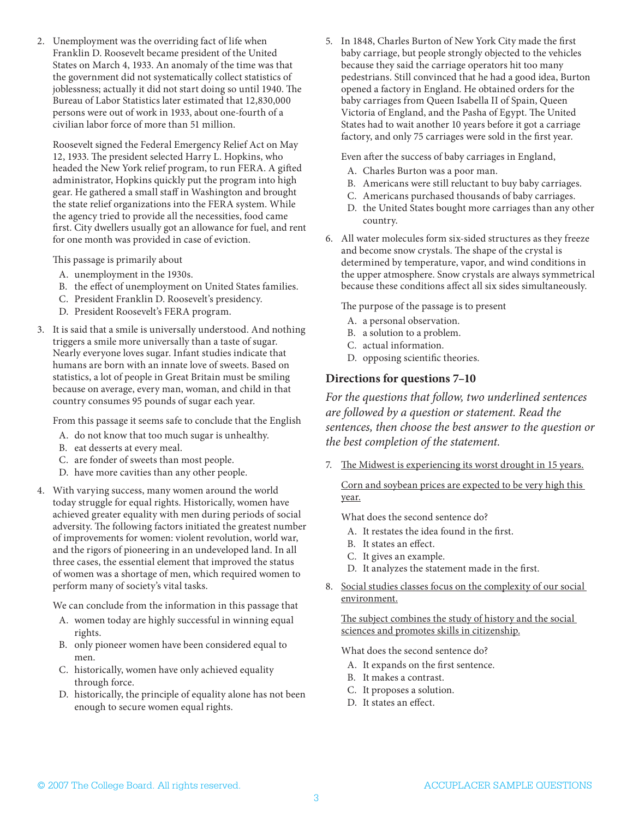2. Unemployment was the overriding fact of life when Franklin D. Roosevelt became president of the United States on March 4, 1933. An anomaly of the time was that the government did not systematically collect statistics of joblessness; actually it did not start doing so until 1940. The Bureau of Labor Statistics later estimated that 12,830,000 persons were out of work in 1933, about one-fourth of a civilian labor force of more than 51 million.

Roosevelt signed the Federal Emergency Relief Act on May 12, 1933. The president selected Harry L. Hopkins, who headed the New York relief program, to run FERA. A gifted administrator, Hopkins quickly put the program into high gear. He gathered a small staff in Washington and brought the state relief organizations into the FERA system. While the agency tried to provide all the necessities, food came first. City dwellers usually got an allowance for fuel, and rent for one month was provided in case of eviction.

This passage is primarily about

- A. unemployment in the 1930s.
- B. the effect of unemployment on United States families.
- C. President Franklin D. Roosevelt's presidency.
- D. President Roosevelt's FERA program.
- 3. It is said that a smile is universally understood. And nothing triggers a smile more universally than a taste of sugar. Nearly everyone loves sugar. Infant studies indicate that humans are born with an innate love of sweets. Based on statistics, a lot of people in Great Britain must be smiling because on average, every man, woman, and child in that country consumes 95 pounds of sugar each year.

From this passage it seems safe to conclude that the English

- A. do not know that too much sugar is unhealthy.
- B. eat desserts at every meal.
- C. are fonder of sweets than most people.
- D. have more cavities than any other people.
- 4. With varying success, many women around the world today struggle for equal rights. Historically, women have achieved greater equality with men during periods of social adversity. The following factors initiated the greatest number of improvements for women: violent revolution, world war, and the rigors of pioneering in an undeveloped land. In all three cases, the essential element that improved the status of women was a shortage of men, which required women to perform many of society's vital tasks.

We can conclude from the information in this passage that

- A. women today are highly successful in winning equal rights.
- B. only pioneer women have been considered equal to men.
- C. historically, women have only achieved equality through force.
- D. historically, the principle of equality alone has not been enough to secure women equal rights.

5. In 1848, Charles Burton of New York City made the first baby carriage, but people strongly objected to the vehicles because they said the carriage operators hit too many pedestrians. Still convinced that he had a good idea, Burton opened a factory in England. He obtained orders for the baby carriages from Queen Isabella II of Spain, Queen Victoria of England, and the Pasha of Egypt. The United States had to wait another 10 years before it got a carriage factory, and only 75 carriages were sold in the first year.

 Even after the success of baby carriages in England,

- A. Charles Burton was a poor man.
- B. Americans were still reluctant to buy baby carriages.
- C. Americans purchased thousands of baby carriages.
- D. the United States bought more carriages than any other country.
- 6. All water molecules form six-sided structures as they freeze and become snow crystals. The shape of the crystal is determined by temperature, vapor, and wind conditions in the upper atmosphere. Snow crystals are always symmetrical because these conditions affect all six sides simultaneously.

The purpose of the passage is to present

- A. a personal observation.
- B. a solution to a problem.
- C. actual information.
- D. opposing scientific theories.

#### **Directions for questions 7–10**

*For the questions that follow, two underlined sentences are followed by a question or statement. Read the sentences, then choose the best answer to the question or the best completion of the statement.*

7. The Midwest is experiencing its worst drought in 15 years.

Corn and soybean prices are expected to be very high this year.

What does the second sentence do?

- A. It restates the idea found in the first.
- B. It states an effect.
- C. It gives an example.
- D. It analyzes the statement made in the first.
- 8. Social studies classes focus on the complexity of our social environment.

The subject combines the study of history and the social sciences and promotes skills in citizenship.

What does the second sentence do?

- A. It expands on the first sentence.
- B. It makes a contrast.
- C. It proposes a solution.
- D. It states an effect.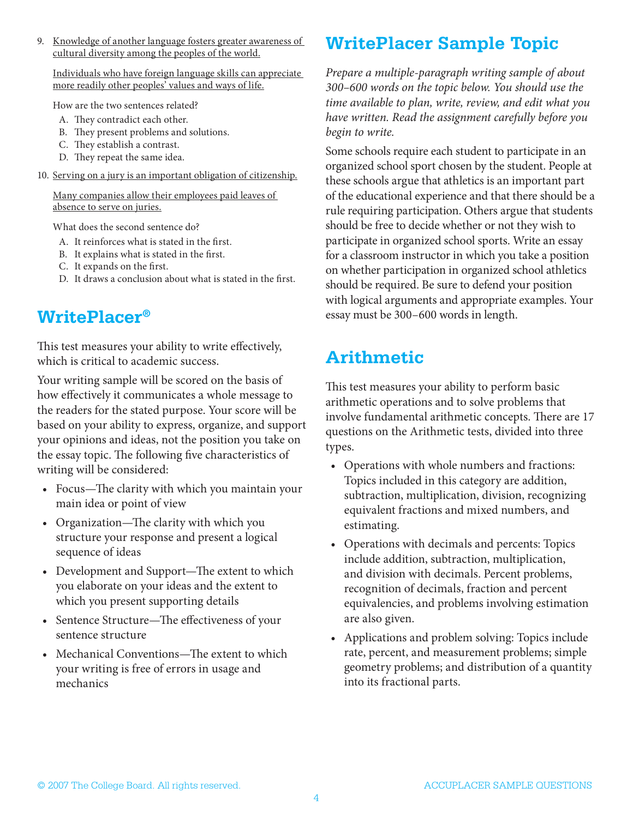9. Knowledge of another language fosters greater awareness of cultural diversity among the peoples of the world.

Individuals who have foreign language skills can appreciate more readily other peoples' values and ways of life.

How are the two sentences related?

- A. They contradict each other.
- B. They present problems and solutions.
- C. They establish a contrast.
- D. They repeat the same idea.
- 10. Serving on a jury is an important obligation of citizenship.

Many companies allow their employees paid leaves of absence to serve on juries.

What does the second sentence do?

- A. It reinforces what is stated in the first.
- B. It explains what is stated in the first.
- C. It expands on the first.
- D. It draws a conclusion about what is stated in the first.

### **WritePlacer®**

This test measures your ability to write effectively, which is critical to academic success.

Your writing sample will be scored on the basis of how effectively it communicates a whole message to the readers for the stated purpose. Your score will be based on your ability to express, organize, and support your opinions and ideas, not the position you take on the essay topic. The following five characteristics of writing will be considered:

- Focus—The clarity with which you maintain your main idea or point of view
- Organization—The clarity with which you structure your response and present a logical sequence of ideas
- Development and Support—The extent to which you elaborate on your ideas and the extent to which you present supporting details
- Sentence Structure—The effectiveness of your sentence structure
- Mechanical Conventions—The extent to which your writing is free of errors in usage and mechanics

# **WritePlacer Sample Topic**

*Prepare a multiple-paragraph writing sample of about 300–600 words on the topic below. You should use the time available to plan, write, review, and edit what you have written. Read the assignment carefully before you begin to write.* 

Some schools require each student to participate in an organized school sport chosen by the student. People at these schools argue that athletics is an important part of the educational experience and that there should be a rule requiring participation. Others argue that students should be free to decide whether or not they wish to participate in organized school sports. Write an essay for a classroom instructor in which you take a position on whether participation in organized school athletics should be required. Be sure to defend your position with logical arguments and appropriate examples. Your essay must be 300–600 words in length.

### **Arithmetic**

This test measures your ability to perform basic arithmetic operations and to solve problems that involve fundamental arithmetic concepts. There are 17 questions on the Arithmetic tests, divided into three types.

- Operations with whole numbers and fractions: Topics included in this category are addition, subtraction, multiplication, division, recognizing equivalent fractions and mixed numbers, and estimating.
- • Operations with decimals and percents: Topics include addition, subtraction, multiplication, and division with decimals. Percent problems, recognition of decimals, fraction and percent equivalencies, and problems involving estimation are also given.
- Applications and problem solving: Topics include rate, percent, and measurement problems; simple geometry problems; and distribution of a quantity into its fractional parts.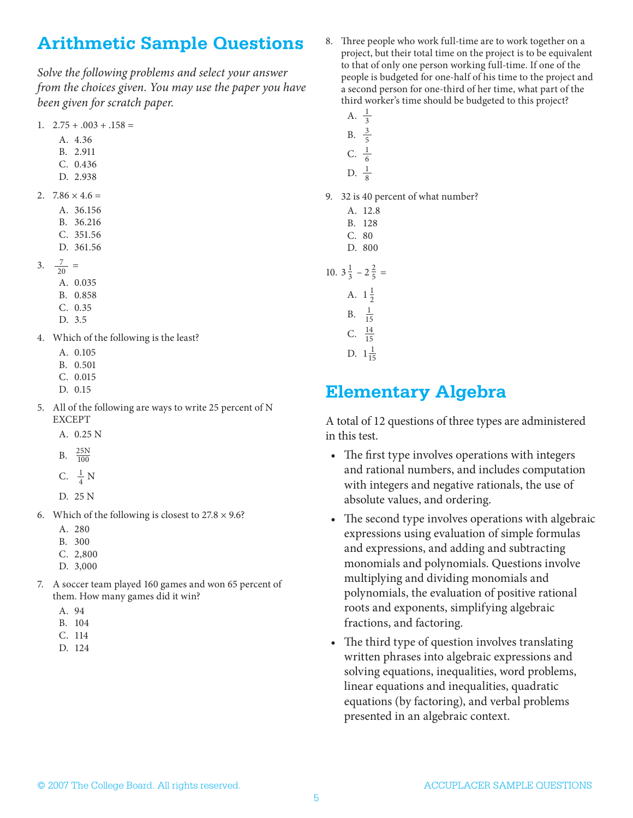### **Arithmetic Sample Questions**

*Solve the following problems and select your answer from the choices given. You may use the paper you have been given for scratch paper.* 

1.  $2.75 + .003 + .158 =$ 

- A. 4.36
- B. 2.911
- C. 0.436
- D. 2.938
- 2.  $7.86 \times 4.6 =$ 
	- A. 36.156
	- B. 36.216
	- C. 351.56
	- D. 361.56
- 3.  $\frac{7}{20}$  =
	- A. 0.035
	- B. 0.858
	- C. 0.35
	- D. 3.5
- 4. Which of the following is the least?
	- A. 0.105
	- B. 0.501
	- C. 0.015
	- D. 0.15
- 5. All of the following are ways to write 25 percent of N EXCEPT
	- A. 0.25 N
	- B.  $\frac{25N}{100}$
	- C.  $\frac{1}{4}$  N
	- D. 25 N
- 6. Which of the following is closest to  $27.8 \times 9.6$ ?
	- A. 280
	- B. 300
	- C. 2,800
	- D. 3,000
- 7. A soccer team played 160 games and won 65 percent of them. How many games did it win?
	- A. 94
	- B. 104
	- C. 114
	- D. 124
- 8. Three people who work full-time are to work together on a project, but their total time on the project is to be equivalent to that of only one person working full-time. If one of the people is budgeted for one-half of his time to the project and a second person for one-third of her time, what part of the third worker's time should be budgeted to this project?
	- A.  $\frac{1}{3}$
	- B.  $\frac{3}{5}$
	- C.  $\frac{1}{6}$
	- D.  $\frac{1}{8}$
- 9. 32 is 40 percent of what number?
	- A. 12.8
	- B. 128 C. 80
	- D. 800
	-
- 10.  $3\frac{1}{3}$   $2\frac{2}{5}$  = A.  $1\frac{1}{2}$ 
	- B.  $\frac{1}{15}$ C.  $\frac{14}{15}$ 
		- D.  $1\frac{1}{15}$

### **Elementary Algebra**

A total of 12 questions of three types are administered in this test.

- The first type involves operations with integers and rational numbers, and includes computation with integers and negative rationals, the use of absolute values, and ordering.
- The second type involves operations with algebraic expressions using evaluation of simple formulas and expressions, and adding and subtracting monomials and polynomials. Questions involve multiplying and dividing monomials and polynomials, the evaluation of positive rational roots and exponents, simplifying algebraic fractions, and factoring.
- The third type of question involves translating written phrases into algebraic expressions and solving equations, inequalities, word problems, linear equations and inequalities, quadratic equations (by factoring), and verbal problems presented in an algebraic context.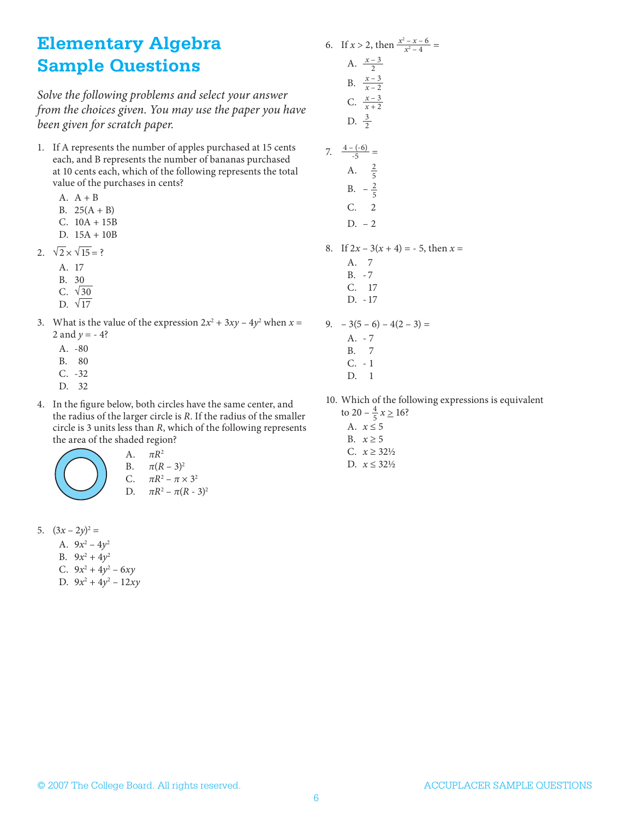#### **Elementary Algebra Sample Questions**

*Solve the following problems and select your answer from the choices given. You may use the paper you have been given for scratch paper.*

- 1. If A represents the number of apples purchased at 15 cents each, and B represents the number of bananas purchased at 10 cents each, which of the following represents the total value of the purchases in cents?
	- A. A + B
	- B.  $25(A + B)$
	- C. 10A + 15B
	- D. 15A + 10B
- 2.  $\sqrt{2} \times \sqrt{15} = ?$ 
	- A. 17
	- B. 30
	- C.  $\sqrt{30}$
	- D.  $\sqrt{17}$
- 3. What is the value of the expression  $2x^2 + 3xy 4y^2$  when  $x =$ 2 and  $y = -4$ ?
	- A. -80
	- B. 80
	- C. -32
	- D. 32
- 4. In the figure below, both circles have the same center, and the radius of the larger circle is *R*. If the radius of the smaller circle is 3 units less than *R*, which of the following represents the area of the shaded region?



A. *πR*<sup>2</sup> B.  $\pi (R-3)^2$ C.  $\pi R^2 - \pi \times 3^2$ D.  $\pi R^2 - \pi (R - 3)^2$ 



- A.  $9x^2 4y^2$
- B.  $9x^2 + 4y^2$
- C.  $9x^2 + 4y^2 6xy$
- D.  $9x^2 + 4y^2 12xy$
- 6. If  $x > 2$ , then  $\frac{x^2 x 6}{x^2 4}$  $\frac{-x-6}{x^2-4}$  = A.  $\frac{x-3}{2}$ B.  $\frac{x-3}{x-2}$ C.  $\frac{x-3}{x+2}$ D.  $\frac{3}{2}$ 7.  $\frac{4-(-6)}{-5}$  = A.  $\frac{2}{5}$ B.  $-\frac{2}{5}$ C. 2 D.  $-2$ 8. If  $2x - 3(x + 4) = -5$ , then  $x =$ A. 7 B. - 7 C. 17 D. - 17 9.  $-3(5-6) - 4(2-3) =$ A. - 7 B. 7 C. - 1 D. 1
- 10. Which of the following expressions is equivalent to  $20 - \frac{4}{5} x \ge 16$ ?
	- A.  $x \leq 5$
	- B.  $x \geq 5$
	- C.  $x \ge 32\frac{1}{2}$
	- D. *x* ≤ 32½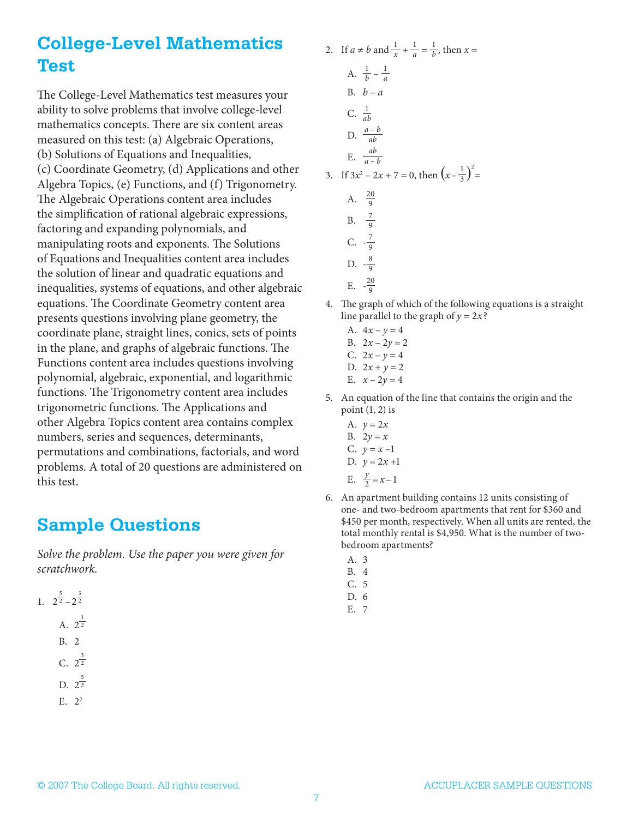### **College-Level Mathematics Test**

The College-Level Mathematics test measures your ability to solve problems that involve college-level mathematics concepts. There are six content areas measured on this test: (a) Algebraic Operations, (b) Solutions of Equations and Inequalities, (c) Coordinate Geometry, (d) Applications and other Algebra Topics, (e) Functions, and (f) Trigonometry. The Algebraic Operations content area includes the simplification of rational algebraic expressions, factoring and expanding polynomials, and manipulating roots and exponents. The Solutions of Equations and Inequalities content area includes the solution of linear and quadratic equations and inequalities, systems of equations, and other algebraic equations. The Coordinate Geometry content area presents questions involving plane geometry, the coordinate plane, straight lines, conics, sets of points in the plane, and graphs of algebraic functions. The Functions content area includes questions involving polynomial, algebraic, exponential, and logarithmic functions. The Trigonometry content area includes trigonometric functions. The Applications and other Algebra Topics content area contains complex numbers, series and sequences, determinants, permutations and combinations, factorials, and word problems. A total of 20 questions are administered on this test.

#### **Sample Questions**

*Solve the problem. Use the paper you were given for scratchwork.*

- 1.  $2^{\frac{5}{2}} 2^{\frac{3}{2}}$ 
	- A.  $2^{\frac{1}{2}}$
	- B. 2
	- C.  $2^{\frac{3}{2}}$
	- D.  $2^{\frac{5}{3}}$
	- E.  $2^2$

2. If 
$$
a \neq b
$$
 and  $\frac{1}{x} + \frac{1}{a} = \frac{1}{b}$ , then  $x =$   
\nA.  $\frac{1}{b} - \frac{1}{a}$   
\nB.  $b - a$   
\nC.  $\frac{1}{ab}$   
\nD.  $\frac{a - b}{ab}$   
\nE.  $\frac{ab}{a - b}$   
\n3. If  $3x^2 - 2x + 7 = 0$ , then  $\left(x - \frac{1}{3}\right)^2 =$   
\nA.  $\frac{20}{9}$   
\nB.  $\frac{7}{9}$   
\nC.  $-\frac{7}{9}$   
\nD.  $-\frac{8}{9}$   
\nE.  $-\frac{20}{9}$ 

- 4. The graph of which of the following equations is a straight line parallel to the graph of  $y = 2x$ ?
	- A.  $4x y = 4$ B.  $2x - 2y = 2$ C.  $2x - y = 4$ D.  $2x + y = 2$ E.  $x - 2y = 4$
- 5. An equation of the line that contains the origin and the
- point  $(1, 2)$  is
	- A.  $y = 2x$ B.  $2y = x$
	- C.  $y = x 1$
	- D.  $y = 2x +1$
	- E.  $\frac{y}{2} = x 1$
- 6. An apartment building contains 12 units consisting of one- and two-bedroom apartments that rent for \$360 and \$450 per month, respectively. When all units are rented, the total monthly rental is \$4,950. What is the number of twobedroom apartments?
	- A. 3
	- B. 4
	- C. 5
	- D. 6 E. 7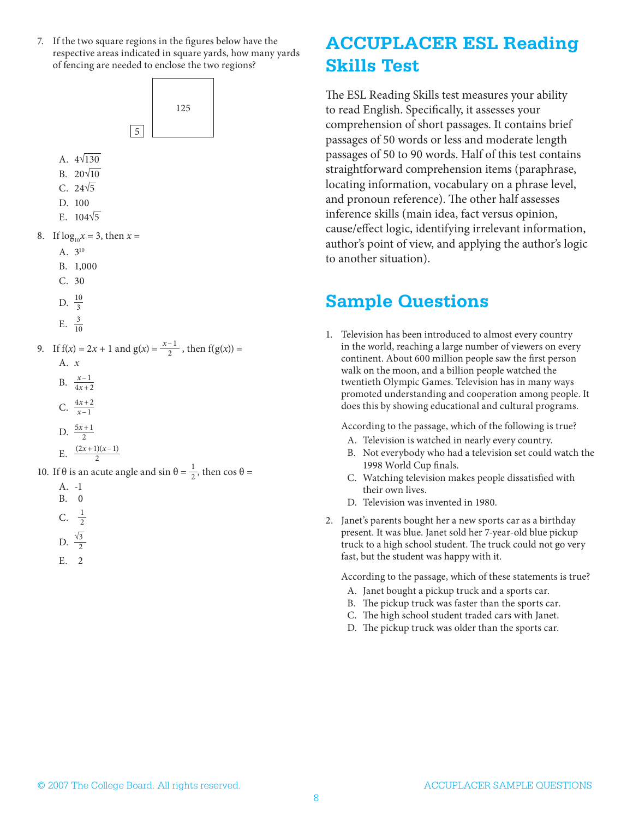7. If the two square regions in the figures below have the respective areas indicated in square yards, how many yards of fencing are needed to enclose the two regions?



- B.  $\frac{x-1}{4x+2}$
- 

C. 
$$
\frac{4x+2}{x-1}
$$

D. 
$$
\frac{m+1}{2}
$$

$$
E. \quad \frac{(2x+1)(x-1)}{2}
$$

- 10. If θ is an acute angle and  $sin θ = \frac{1}{2}$ , then  $cos θ =$ 
	- A. -1 B. 0
	-
	- C.  $\frac{1}{2}$
	- D.  $\frac{\sqrt{3}}{2}$
	- E. 2

# **ACCUPLACER ESL Reading Skills Test**

The ESL Reading Skills test measures your ability to read English. Specifically, it assesses your comprehension of short passages. It contains brief passages of 50 words or less and moderate length passages of 50 to 90 words. Half of this test contains straightforward comprehension items (paraphrase, locating information, vocabulary on a phrase level, and pronoun reference). The other half assesses inference skills (main idea, fact versus opinion, cause/effect logic, identifying irrelevant information, author's point of view, and applying the author's logic to another situation).

## **Sample Questions**

1. Television has been introduced to almost every country in the world, reaching a large number of viewers on every continent. About 600 million people saw the first person walk on the moon, and a billion people watched the twentieth Olympic Games. Television has in many ways promoted understanding and cooperation among people. It does this by showing educational and cultural programs.

According to the passage, which of the following is true?

- A. Television is watched in nearly every country.
- B. Not everybody who had a television set could watch the 1998 World Cup finals.
- C. Watching television makes people dissatisfied with their own lives.
- D. Television was invented in 1980.
- 2. Janet's parents bought her a new sports car as a birthday present. It was blue. Janet sold her 7-year-old blue pickup truck to a high school student. The truck could not go very fast, but the student was happy with it.

According to the passage, which of these statements is true?

- A. Janet bought a pickup truck and a sports car.
- B. The pickup truck was faster than the sports car.
- C. The high school student traded cars with Janet.
- D. The pickup truck was older than the sports car.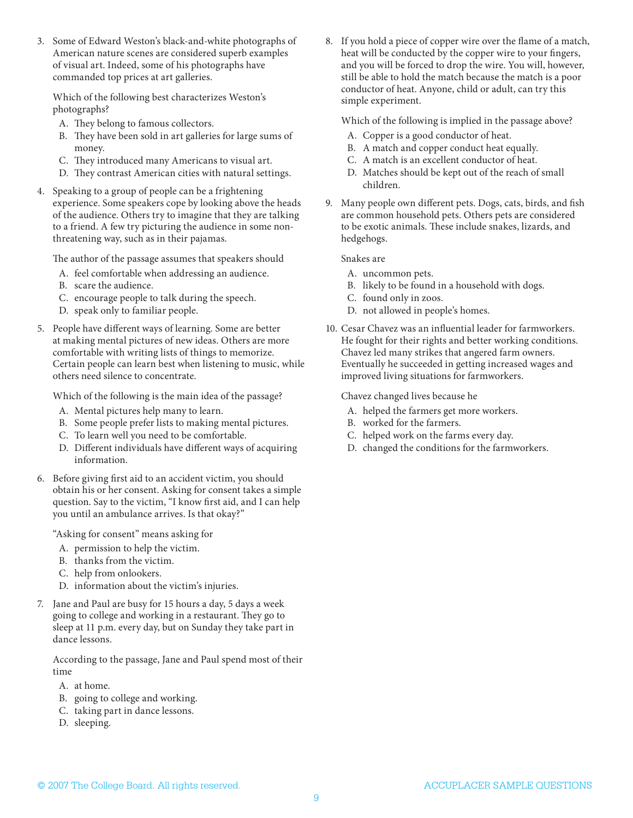3. Some of Edward Weston's black-and-white photographs of American nature scenes are considered superb examples of visual art. Indeed, some of his photographs have commanded top prices at art galleries.

Which of the following best characterizes Weston's photographs?

- A. They belong to famous collectors.
- B. They have been sold in art galleries for large sums of money.
- C. They introduced many Americans to visual art.
- D. They contrast American cities with natural settings.
- 4. Speaking to a group of people can be a frightening experience. Some speakers cope by looking above the heads of the audience. Others try to imagine that they are talking to a friend. A few try picturing the audience in some nonthreatening way, such as in their pajamas.

The author of the passage assumes that speakers should

- A. feel comfortable when addressing an audience.
- B. scare the audience.
- C. encourage people to talk during the speech.
- D. speak only to familiar people.
- 5. People have different ways of learning. Some are better at making mental pictures of new ideas. Others are more comfortable with writing lists of things to memorize. Certain people can learn best when listening to music, while others need silence to concentrate.

Which of the following is the main idea of the passage?

- A. Mental pictures help many to learn.
- B. Some people prefer lists to making mental pictures.
- C. To learn well you need to be comfortable.
- D. Different individuals have different ways of acquiring information.
- 6. Before giving first aid to an accident victim, you should obtain his or her consent. Asking for consent takes a simple question. Say to the victim, "I know first aid, and I can help you until an ambulance arrives. Is that okay?"

"Asking for consent" means asking for

- A. permission to help the victim.
- B. thanks from the victim.
- C. help from onlookers.
- D. information about the victim's injuries.
- 7. Jane and Paul are busy for 15 hours a day, 5 days a week going to college and working in a restaurant. They go to sleep at 11 p.m. every day, but on Sunday they take part in dance lessons.

According to the passage, Jane and Paul spend most of their time

- A. at home.
- B. going to college and working.
- C. taking part in dance lessons.
- D. sleeping.

8. If you hold a piece of copper wire over the flame of a match, heat will be conducted by the copper wire to your fingers, and you will be forced to drop the wire. You will, however, still be able to hold the match because the match is a poor conductor of heat. Anyone, child or adult, can try this simple experiment.

Which of the following is implied in the passage above?

- A. Copper is a good conductor of heat.
- B. A match and copper conduct heat equally.
- C. A match is an excellent conductor of heat.
- D. Matches should be kept out of the reach of small children.
- 9. Many people own different pets. Dogs, cats, birds, and fish are common household pets. Others pets are considered to be exotic animals. These include snakes, lizards, and hedgehogs.

Snakes are

- A. uncommon pets.
- B. likely to be found in a household with dogs.
- C. found only in zoos.
- D. not allowed in people's homes.
- 10. Cesar Chavez was an influential leader for farmworkers. He fought for their rights and better working conditions. Chavez led many strikes that angered farm owners. Eventually he succeeded in getting increased wages and improved living situations for farmworkers.

Chavez changed lives because he

- A. helped the farmers get more workers.
- B. worked for the farmers.
- C. helped work on the farms every day.
- D. changed the conditions for the farmworkers.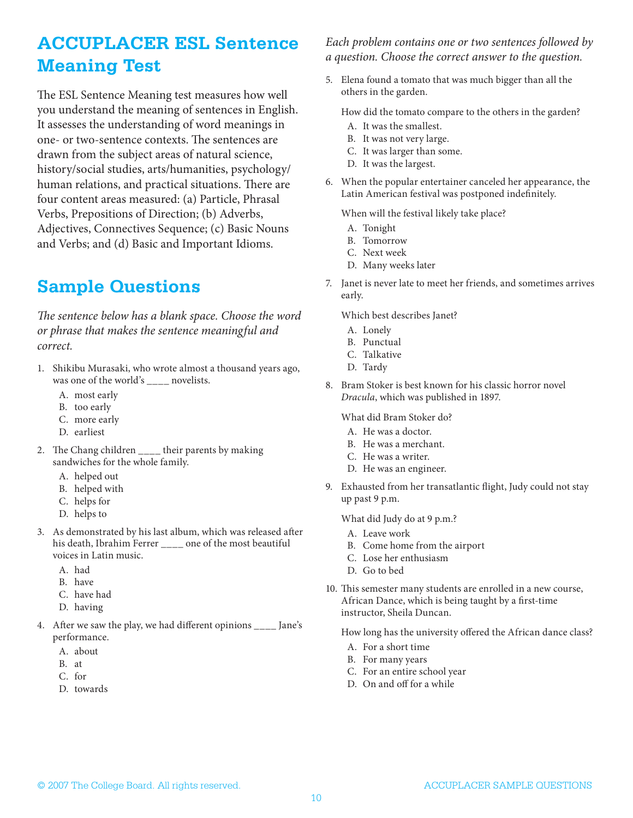### **ACCUPLACER ESL Sentence Meaning Test**

The ESL Sentence Meaning test measures how well you understand the meaning of sentences in English. It assesses the understanding of word meanings in one- or two-sentence contexts. The sentences are drawn from the subject areas of natural science, history/social studies, arts/humanities, psychology/ human relations, and practical situations. There are four content areas measured: (a) Particle, Phrasal Verbs, Prepositions of Direction; (b) Adverbs, Adjectives, Connectives Sequence; (c) Basic Nouns and Verbs; and (d) Basic and Important Idioms.

### **Sample Questions**

*The sentence below has a blank space. Choose the word or phrase that makes the sentence meaningful and correct.*

- 1. Shikibu Murasaki, who wrote almost a thousand years ago, was one of the world's \_\_\_\_ novelists.
	- A. most early
	- B. too early
	- C. more early
	- D. earliest
- 2. The Chang children \_\_\_\_ their parents by making sandwiches for the whole family.
	- A. helped out
	- B. helped with
	- C. helps for
	- D. helps to
- 3. As demonstrated by his last album, which was released after his death, Ibrahim Ferrer \_\_\_\_ one of the most beautiful voices in Latin music.
	- A. had
	- B. have
	- C. have had
	- D. having
- 4. After we saw the play, we had different opinions \_\_\_\_ Jane's performance.
	- A. about
	- B. at
	- C. for
	- D. towards

#### *Each problem contains one or two sentences followed by a question. Choose the correct answer to the question.*

5. Elena found a tomato that was much bigger than all the others in the garden.

How did the tomato compare to the others in the garden?

- A. It was the smallest.
- B. It was not very large.
- C. It was larger than some.
- D. It was the largest.
- 6. When the popular entertainer canceled her appearance, the Latin American festival was postponed indefinitely.

When will the festival likely take place?

- A. Tonight
- B. Tomorrow
- C. Next week
- D. Many weeks later
- 7. Janet is never late to meet her friends, and sometimes arrives early.

Which best describes Janet?

- A. Lonely
- B. Punctual
- C. Talkative
- D. Tardy
- 8. Bram Stoker is best known for his classic horror novel *Dracula*, which was published in 1897.

What did Bram Stoker do?

- A. He was a doctor.
- B. He was a merchant.
- C. He was a writer.
- D. He was an engineer.
- 9. Exhausted from her transatlantic flight, Judy could not stay up past 9 p.m.

What did Judy do at 9 p.m.?

- A. Leave work
- B. Come home from the airport
- C. Lose her enthusiasm
- D. Go to bed
- 10. This semester many students are enrolled in a new course, African Dance, which is being taught by a first-time instructor, Sheila Duncan.

How long has the university offered the African dance class?

- A. For a short time
- B. For many years
- C. For an entire school year
- D. On and off for a while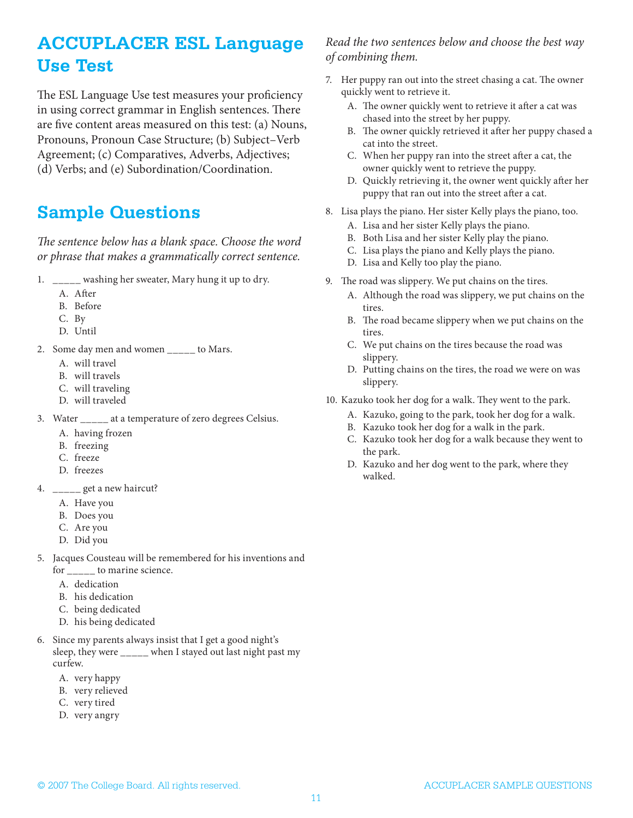### **ACCUPLACER ESL Language Use Test**

The ESL Language Use test measures your proficiency in using correct grammar in English sentences. There are five content areas measured on this test: (a) Nouns, Pronouns, Pronoun Case Structure; (b) Subject–Verb Agreement; (c) Comparatives, Adverbs, Adjectives; (d) Verbs; and (e) Subordination/Coordination.

### **Sample Questions**

*The sentence below has a blank space. Choose the word or phrase that makes a grammatically correct sentence.*

- 1. washing her sweater, Mary hung it up to dry.
	- A. After
	- B. Before
	- C. By
	- D. Until
- 2. Some day men and women \_\_\_\_\_ to Mars.
	- A. will travel
	- B. will travels
	- C. will traveling
	- D. will traveled
- 3. Water \_\_\_\_\_ at a temperature of zero degrees Celsius.
	- A. having frozen
	- B. freezing
	- C. freeze
	- D. freezes
- 4. \_\_\_\_\_ get a new haircut?
	- A. Have you
	- B. Does you
	- C. Are you
	- D. Did you
- 5. Jacques Cousteau will be remembered for his inventions and for \_\_\_\_\_ to marine science.
	- A. dedication
	- B. his dedication
	- C. being dedicated
	- D. his being dedicated
- 6. Since my parents always insist that I get a good night's sleep, they were \_\_\_\_\_ when I stayed out last night past my curfew.
	- A. very happy
	- B. very relieved
	- C. very tired
	- D. very angry

#### *Read the two sentences below and choose the best way of combining them.*

- 7. Her puppy ran out into the street chasing a cat. The owner quickly went to retrieve it.
	- A. The owner quickly went to retrieve it after a cat was chased into the street by her puppy.
	- B. The owner quickly retrieved it after her puppy chased a cat into the street.
	- C. When her puppy ran into the street after a cat, the owner quickly went to retrieve the puppy.
	- D. Quickly retrieving it, the owner went quickly after her puppy that ran out into the street after a cat.
- 8. Lisa plays the piano. Her sister Kelly plays the piano, too.
	- A. Lisa and her sister Kelly plays the piano.
	- B. Both Lisa and her sister Kelly play the piano.
	- C. Lisa plays the piano and Kelly plays the piano.
	- D. Lisa and Kelly too play the piano.
- 9. The road was slippery. We put chains on the tires.
	- A. Although the road was slippery, we put chains on the tires.
	- B. The road became slippery when we put chains on the tires.
	- C. We put chains on the tires because the road was slippery.
	- D. Putting chains on the tires, the road we were on was slippery.
- 10. Kazuko took her dog for a walk. They went to the park.
	- A. Kazuko, going to the park, took her dog for a walk.
	- B. Kazuko took her dog for a walk in the park.
	- C. Kazuko took her dog for a walk because they went to the park.
	- D. Kazuko and her dog went to the park, where they walked.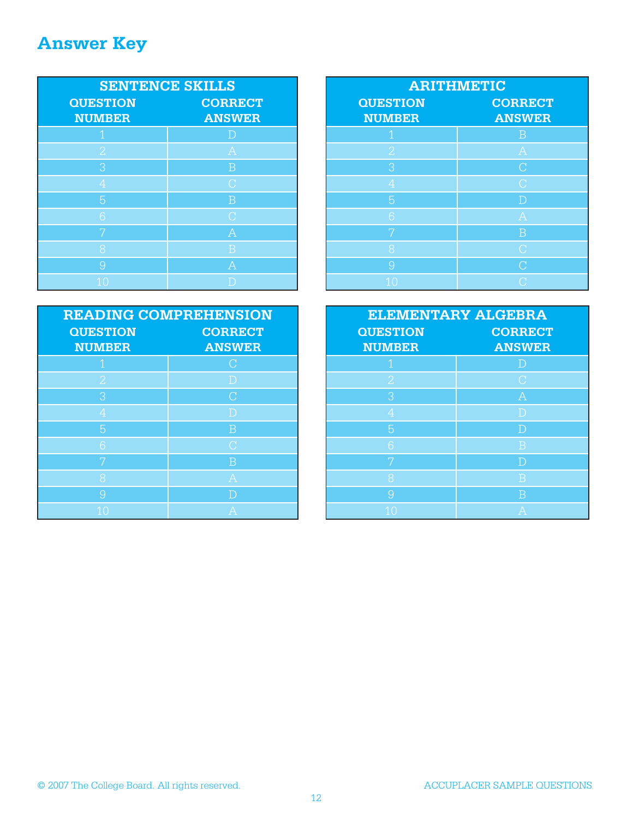# **Answer Key**

| <b>SENTENCE SKILLS</b> |                             |
|------------------------|-----------------------------|
| <b>QUESTION</b>        | <b>CORRECT</b>              |
| <b>NUMBER</b>          | <b>ANSWER</b>               |
|                        | D                           |
| $\overline{2}$         | $\overline{A}$              |
| 3                      | $\overline{B}$              |
| $\overline{4}$         | $\overline{C}$              |
| 5                      | B                           |
| 6                      | $\overline{C}$              |
| 7                      | $\mathcal{A}_{\mathcal{A}}$ |
| 8                      | B                           |
| 9                      | $\overline{A}$              |
|                        |                             |

| <b>ARITHMETIC</b>                |                                 |
|----------------------------------|---------------------------------|
| <b>QUESTION</b><br><b>NUMBER</b> | <b>CORRECT</b><br><b>ANSWER</b> |
| 1                                | B                               |
| $\overline{2}$                   | $\overline{A}$                  |
| 3                                | $\overline{C}$                  |
| $\overline{4}$                   | $\overline{C}$                  |
| 5                                | $\Gamma$                        |
| 6                                | $\mathcal{A}_{\mathcal{A}}$     |
| 7                                | $\overline{B}$                  |
| 8                                | $\overline{C}$                  |
| 9                                | $\bigcap$                       |
| 10                               |                                 |

| <b>READING COMPREHENSION</b> |                |
|------------------------------|----------------|
| <b>QUESTION</b>              | <b>CORRECT</b> |
| <b>NUMBER</b>                | <b>ANSWER</b>  |
|                              | $\rm C$        |
| $\overline{2}$               | D              |
| 3                            | $\overline{C}$ |
| 4                            | D              |
| 5                            | B              |
| 6                            | $\overline{C}$ |
|                              | $\overline{B}$ |
| 8                            | $\overline{A}$ |
| $\Omega$                     | D              |
| 10                           | А              |

| <b>ELEMENTARY ALGEBRA</b> |                         |
|---------------------------|-------------------------|
| <b>QUESTION</b>           | <b>CORRECT</b>          |
| <b>NUMBER</b>             | <b>ANSWER</b>           |
| 1                         | D                       |
| $\overline{2}$            | $\bigcap$               |
| 3                         | A                       |
| $\overline{4}$            | D                       |
| 5                         | D                       |
| 6                         | B                       |
| 7                         | $\overline{\mathbb{D}}$ |
| 8                         | B                       |
| 9                         | B                       |
| 1 <sub>0</sub>            | A                       |